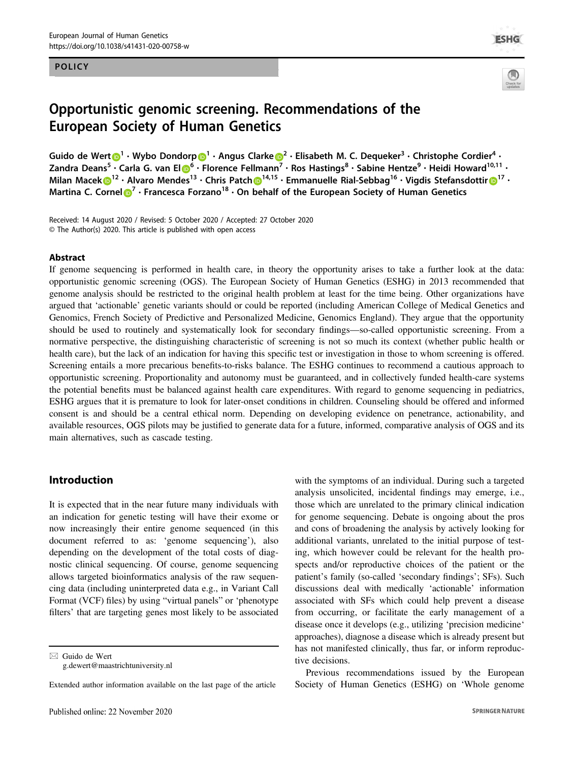#### **POLICY**



**ESHG** 

# Opportunistic genomic screening. Recommendations of the European Society of Human Genetics

Guido de Wer[t](http://orcid.org/0000-0002-0410-4902) $\bigcirc^1 \cdot$  $\bigcirc^1 \cdot$  $\bigcirc^1 \cdot$  Wybo Dondor[p](http://orcid.org/0000-0003-4052-7192) $\bigcirc^1 \cdot$  Angus Clark[e](http://orcid.org/0000-0002-1200-9286) $\bigcirc^2 \cdot$  $\bigcirc^2 \cdot$  $\bigcirc^2 \cdot$  Elisabeth M. C. Dequeker $^3 \cdot$  Christophe Cordier $^4 \cdot$ Zandra Deans<sup>5</sup> • Carla G. van El D<sup>[6](http://orcid.org/0000-0003-2201-2320)</sup> • Florence Fellmann<sup>7</sup> • Ros Hastings<sup>8</sup> • Sabine Hentze<sup>9</sup> • Heidi Howard<sup>10,11</sup> • Milan Macek $\bigcirc^{12}$  $\bigcirc^{12}$  $\bigcirc^{12}$  • Alvaro Mendes<sup>13</sup> • C[h](http://orcid.org/0000-0002-4191-0663)[r](http://orcid.org/0000-0003-4451-3126)is Patch $\bigcirc^{14,15}$  • Emmanuelle Rial-Sebbag<sup>16</sup> • Vigdis Stefansdottir $\bigcirc^{17}$  • Martina C. Corne[l](http://orcid.org/0000-0002-5397-5544)  $\bigcirc^7 \cdot$  $\bigcirc^7 \cdot$  $\bigcirc^7 \cdot$  Francesca Forzano<sup>18</sup>  $\cdot$  On behalf of the European Society of Human Genetics

Received: 14 August 2020 / Revised: 5 October 2020 / Accepted: 27 October 2020 © The Author(s) 2020. This article is published with open access

#### Abstract

If genome sequencing is performed in health care, in theory the opportunity arises to take a further look at the data: opportunistic genomic screening (OGS). The European Society of Human Genetics (ESHG) in 2013 recommended that genome analysis should be restricted to the original health problem at least for the time being. Other organizations have argued that 'actionable' genetic variants should or could be reported (including American College of Medical Genetics and Genomics, French Society of Predictive and Personalized Medicine, Genomics England). They argue that the opportunity should be used to routinely and systematically look for secondary findings—so-called opportunistic screening. From a normative perspective, the distinguishing characteristic of screening is not so much its context (whether public health or health care), but the lack of an indication for having this specific test or investigation in those to whom screening is offered. Screening entails a more precarious benefits-to-risks balance. The ESHG continues to recommend a cautious approach to opportunistic screening. Proportionality and autonomy must be guaranteed, and in collectively funded health-care systems the potential benefits must be balanced against health care expenditures. With regard to genome sequencing in pediatrics, ESHG argues that it is premature to look for later-onset conditions in children. Counseling should be offered and informed consent is and should be a central ethical norm. Depending on developing evidence on penetrance, actionability, and available resources, OGS pilots may be justified to generate data for a future, informed, comparative analysis of OGS and its main alternatives, such as cascade testing.

## Introduction

It is expected that in the near future many individuals with an indication for genetic testing will have their exome or now increasingly their entire genome sequenced (in this document referred to as: 'genome sequencing'), also depending on the development of the total costs of diagnostic clinical sequencing. Of course, genome sequencing allows targeted bioinformatics analysis of the raw sequencing data (including uninterpreted data e.g., in Variant Call Format (VCF) files) by using "virtual panels" or 'phenotype filters' that are targeting genes most likely to be associated

 $\boxtimes$  Guido de Wert [g.dewert@maastrichtuniversity.nl](mailto:g.dewert@maastrichtuniversity.nl) with the symptoms of an individual. During such a targeted analysis unsolicited, incidental findings may emerge, i.e., those which are unrelated to the primary clinical indication for genome sequencing. Debate is ongoing about the pros and cons of broadening the analysis by actively looking for additional variants, unrelated to the initial purpose of testing, which however could be relevant for the health prospects and/or reproductive choices of the patient or the patient's family (so-called 'secondary findings'; SFs). Such discussions deal with medically 'actionable' information associated with SFs which could help prevent a disease from occurring, or facilitate the early management of a disease once it develops (e.g., utilizing 'precision medicine' approaches), diagnose a disease which is already present but has not manifested clinically, thus far, or inform reproductive decisions.

Previous recommendations issued by the European Society of Human Genetics (ESHG) on 'Whole genome

Extended author information available on the last page of the article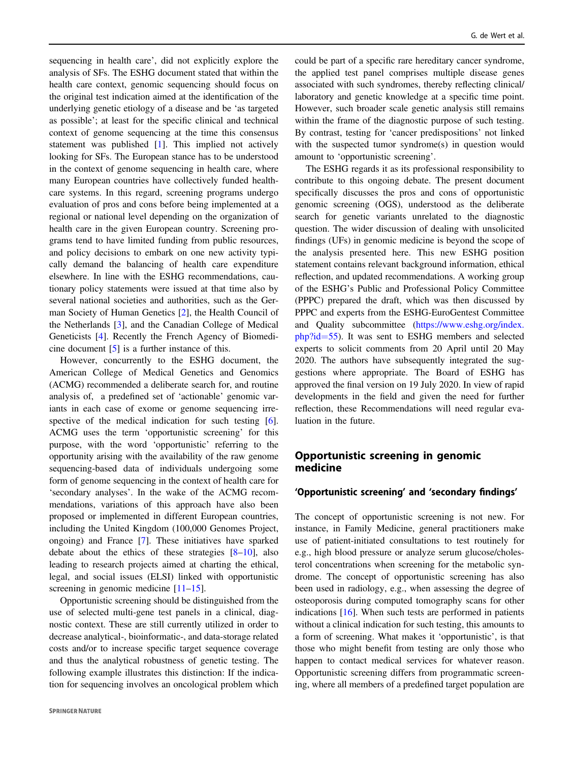sequencing in health care', did not explicitly explore the analysis of SFs. The ESHG document stated that within the health care context, genomic sequencing should focus on the original test indication aimed at the identification of the underlying genetic etiology of a disease and be 'as targeted as possible'; at least for the specific clinical and technical context of genome sequencing at the time this consensus statement was published [\[1](#page-9-0)]. This implied not actively looking for SFs. The European stance has to be understood in the context of genome sequencing in health care, where many European countries have collectively funded healthcare systems. In this regard, screening programs undergo evaluation of pros and cons before being implemented at a regional or national level depending on the organization of health care in the given European country. Screening programs tend to have limited funding from public resources, and policy decisions to embark on one new activity typically demand the balancing of health care expenditure elsewhere. In line with the ESHG recommendations, cautionary policy statements were issued at that time also by several national societies and authorities, such as the German Society of Human Genetics [\[2](#page-9-0)], the Health Council of the Netherlands [\[3](#page-10-0)], and the Canadian College of Medical Geneticists [\[4](#page-10-0)]. Recently the French Agency of Biomedicine document [\[5](#page-10-0)] is a further instance of this.

However, concurrently to the ESHG document, the American College of Medical Genetics and Genomics (ACMG) recommended a deliberate search for, and routine analysis of, a predefined set of 'actionable' genomic variants in each case of exome or genome sequencing irre-spective of the medical indication for such testing [\[6](#page-10-0)]. ACMG uses the term 'opportunistic screening' for this purpose, with the word 'opportunistic' referring to the opportunity arising with the availability of the raw genome sequencing-based data of individuals undergoing some form of genome sequencing in the context of health care for 'secondary analyses'. In the wake of the ACMG recommendations, variations of this approach have also been proposed or implemented in different European countries, including the United Kingdom (100,000 Genomes Project, ongoing) and France [\[7](#page-10-0)]. These initiatives have sparked debate about the ethics of these strategies [[8](#page-10-0)–[10\]](#page-10-0), also leading to research projects aimed at charting the ethical, legal, and social issues (ELSI) linked with opportunistic screening in genomic medicine [\[11](#page-10-0)–[15](#page-10-0)].

Opportunistic screening should be distinguished from the use of selected multi-gene test panels in a clinical, diagnostic context. These are still currently utilized in order to decrease analytical-, bioinformatic-, and data-storage related costs and/or to increase specific target sequence coverage and thus the analytical robustness of genetic testing. The following example illustrates this distinction: If the indication for sequencing involves an oncological problem which could be part of a specific rare hereditary cancer syndrome, the applied test panel comprises multiple disease genes associated with such syndromes, thereby reflecting clinical/ laboratory and genetic knowledge at a specific time point. However, such broader scale genetic analysis still remains within the frame of the diagnostic purpose of such testing. By contrast, testing for 'cancer predispositions' not linked with the suspected tumor syndrome(s) in question would amount to 'opportunistic screening'.

The ESHG regards it as its professional responsibility to contribute to this ongoing debate. The present document specifically discusses the pros and cons of opportunistic genomic screening (OGS), understood as the deliberate search for genetic variants unrelated to the diagnostic question. The wider discussion of dealing with unsolicited findings (UFs) in genomic medicine is beyond the scope of the analysis presented here. This new ESHG position statement contains relevant background information, ethical reflection, and updated recommendations. A working group of the ESHG's Public and Professional Policy Committee (PPPC) prepared the draft, which was then discussed by PPPC and experts from the ESHG-EuroGentest Committee and Quality subcommittee ([https://www.eshg.org/index.](https://www.eshg.org/index.php?id=55) [php?id](https://www.eshg.org/index.php?id=55)=55). It was sent to ESHG members and selected experts to solicit comments from 20 April until 20 May 2020. The authors have subsequently integrated the suggestions where appropriate. The Board of ESHG has approved the final version on 19 July 2020. In view of rapid developments in the field and given the need for further reflection, these Recommendations will need regular evaluation in the future.

## Opportunistic screening in genomic medicine

#### 'Opportunistic screening' and 'secondary findings'

The concept of opportunistic screening is not new. For instance, in Family Medicine, general practitioners make use of patient-initiated consultations to test routinely for e.g., high blood pressure or analyze serum glucose/cholesterol concentrations when screening for the metabolic syndrome. The concept of opportunistic screening has also been used in radiology, e.g., when assessing the degree of osteoporosis during computed tomography scans for other indications [[16\]](#page-10-0). When such tests are performed in patients without a clinical indication for such testing, this amounts to a form of screening. What makes it 'opportunistic', is that those who might benefit from testing are only those who happen to contact medical services for whatever reason. Opportunistic screening differs from programmatic screening, where all members of a predefined target population are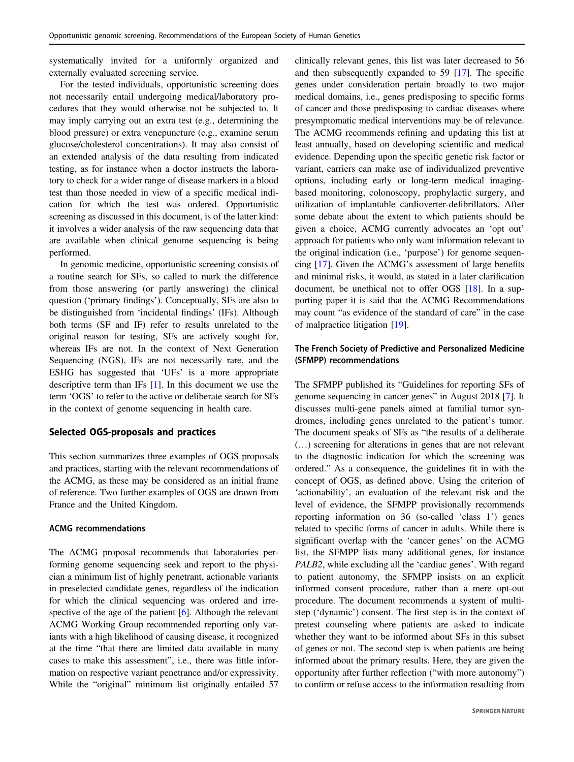systematically invited for a uniformly organized and externally evaluated screening service.

For the tested individuals, opportunistic screening does not necessarily entail undergoing medical/laboratory procedures that they would otherwise not be subjected to. It may imply carrying out an extra test (e.g., determining the blood pressure) or extra venepuncture (e.g., examine serum glucose/cholesterol concentrations). It may also consist of an extended analysis of the data resulting from indicated testing, as for instance when a doctor instructs the laboratory to check for a wider range of disease markers in a blood test than those needed in view of a specific medical indication for which the test was ordered. Opportunistic screening as discussed in this document, is of the latter kind: it involves a wider analysis of the raw sequencing data that are available when clinical genome sequencing is being performed.

In genomic medicine, opportunistic screening consists of a routine search for SFs, so called to mark the difference from those answering (or partly answering) the clinical question ('primary findings'). Conceptually, SFs are also to be distinguished from 'incidental findings' (IFs). Although both terms (SF and IF) refer to results unrelated to the original reason for testing, SFs are actively sought for, whereas IFs are not. In the context of Next Generation Sequencing (NGS), IFs are not necessarily rare, and the ESHG has suggested that 'UFs' is a more appropriate descriptive term than IFs [\[1](#page-9-0)]. In this document we use the term 'OGS' to refer to the active or deliberate search for SFs in the context of genome sequencing in health care.

## Selected OGS-proposals and practices

This section summarizes three examples of OGS proposals and practices, starting with the relevant recommendations of the ACMG, as these may be considered as an initial frame of reference. Two further examples of OGS are drawn from France and the United Kingdom.

#### ACMG recommendations

The ACMG proposal recommends that laboratories performing genome sequencing seek and report to the physician a minimum list of highly penetrant, actionable variants in preselected candidate genes, regardless of the indication for which the clinical sequencing was ordered and irre-spective of the age of the patient [\[6](#page-10-0)]. Although the relevant ACMG Working Group recommended reporting only variants with a high likelihood of causing disease, it recognized at the time "that there are limited data available in many cases to make this assessment", i.e., there was little information on respective variant penetrance and/or expressivity. While the "original" minimum list originally entailed 57 clinically relevant genes, this list was later decreased to 56 and then subsequently expanded to 59 [\[17](#page-10-0)]. The specific genes under consideration pertain broadly to two major medical domains, i.e., genes predisposing to specific forms of cancer and those predisposing to cardiac diseases where presymptomatic medical interventions may be of relevance. The ACMG recommends refining and updating this list at least annually, based on developing scientific and medical evidence. Depending upon the specific genetic risk factor or variant, carriers can make use of individualized preventive options, including early or long-term medical imagingbased monitoring, colonoscopy, prophylactic surgery, and utilization of implantable cardioverter-defibrillators. After some debate about the extent to which patients should be given a choice, ACMG currently advocates an 'opt out' approach for patients who only want information relevant to the original indication (i.e., 'purpose') for genome sequencing [[17\]](#page-10-0). Given the ACMG's assessment of large benefits and minimal risks, it would, as stated in a later clarification document, be unethical not to offer OGS [[18\]](#page-10-0). In a supporting paper it is said that the ACMG Recommendations may count "as evidence of the standard of care" in the case of malpractice litigation [[19\]](#page-10-0).

## The French Society of Predictive and Personalized Medicine (SFMPP) recommendations

The SFMPP published its "Guidelines for reporting SFs of genome sequencing in cancer genes" in August 2018 [[7\]](#page-10-0). It discusses multi-gene panels aimed at familial tumor syndromes, including genes unrelated to the patient's tumor. The document speaks of SFs as "the results of a deliberate (…) screening for alterations in genes that are not relevant to the diagnostic indication for which the screening was ordered." As a consequence, the guidelines fit in with the concept of OGS, as defined above. Using the criterion of 'actionability', an evaluation of the relevant risk and the level of evidence, the SFMPP provisionally recommends reporting information on 36 (so-called 'class 1') genes related to specific forms of cancer in adults. While there is significant overlap with the 'cancer genes' on the ACMG list, the SFMPP lists many additional genes, for instance PALB2, while excluding all the 'cardiac genes'. With regard to patient autonomy, the SFMPP insists on an explicit informed consent procedure, rather than a mere opt-out procedure. The document recommends a system of multistep ('dynamic') consent. The first step is in the context of pretest counseling where patients are asked to indicate whether they want to be informed about SFs in this subset of genes or not. The second step is when patients are being informed about the primary results. Here, they are given the opportunity after further reflection ("with more autonomy") to confirm or refuse access to the information resulting from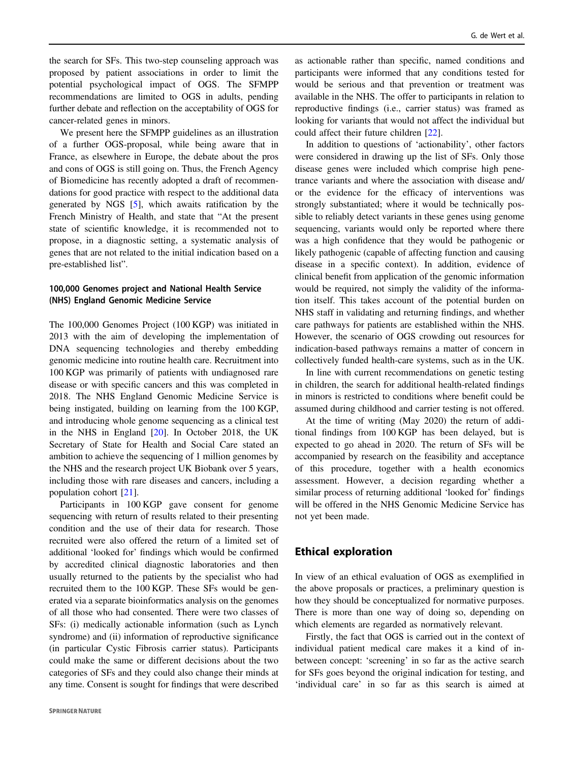the search for SFs. This two-step counseling approach was proposed by patient associations in order to limit the potential psychological impact of OGS. The SFMPP recommendations are limited to OGS in adults, pending further debate and reflection on the acceptability of OGS for cancer-related genes in minors.

We present here the SFMPP guidelines as an illustration of a further OGS-proposal, while being aware that in France, as elsewhere in Europe, the debate about the pros and cons of OGS is still going on. Thus, the French Agency of Biomedicine has recently adopted a draft of recommendations for good practice with respect to the additional data generated by NGS [\[5](#page-10-0)], which awaits ratification by the French Ministry of Health, and state that "At the present state of scientific knowledge, it is recommended not to propose, in a diagnostic setting, a systematic analysis of genes that are not related to the initial indication based on a pre-established list".

## 100,000 Genomes project and National Health Service (NHS) England Genomic Medicine Service

The 100,000 Genomes Project (100 KGP) was initiated in 2013 with the aim of developing the implementation of DNA sequencing technologies and thereby embedding genomic medicine into routine health care. Recruitment into 100 KGP was primarily of patients with undiagnosed rare disease or with specific cancers and this was completed in 2018. The NHS England Genomic Medicine Service is being instigated, building on learning from the 100 KGP, and introducing whole genome sequencing as a clinical test in the NHS in England [[20\]](#page-10-0). In October 2018, the UK Secretary of State for Health and Social Care stated an ambition to achieve the sequencing of 1 million genomes by the NHS and the research project UK Biobank over 5 years, including those with rare diseases and cancers, including a population cohort [[21\]](#page-10-0).

Participants in 100 KGP gave consent for genome sequencing with return of results related to their presenting condition and the use of their data for research. Those recruited were also offered the return of a limited set of additional 'looked for' findings which would be confirmed by accredited clinical diagnostic laboratories and then usually returned to the patients by the specialist who had recruited them to the 100 KGP. These SFs would be generated via a separate bioinformatics analysis on the genomes of all those who had consented. There were two classes of SFs: (i) medically actionable information (such as Lynch syndrome) and (ii) information of reproductive significance (in particular Cystic Fibrosis carrier status). Participants could make the same or different decisions about the two categories of SFs and they could also change their minds at any time. Consent is sought for findings that were described

as actionable rather than specific, named conditions and participants were informed that any conditions tested for would be serious and that prevention or treatment was available in the NHS. The offer to participants in relation to reproductive findings (i.e., carrier status) was framed as looking for variants that would not affect the individual but could affect their future children [\[22](#page-10-0)].

In addition to questions of 'actionability', other factors were considered in drawing up the list of SFs. Only those disease genes were included which comprise high penetrance variants and where the association with disease and/ or the evidence for the efficacy of interventions was strongly substantiated; where it would be technically possible to reliably detect variants in these genes using genome sequencing, variants would only be reported where there was a high confidence that they would be pathogenic or likely pathogenic (capable of affecting function and causing disease in a specific context). In addition, evidence of clinical benefit from application of the genomic information would be required, not simply the validity of the information itself. This takes account of the potential burden on NHS staff in validating and returning findings, and whether care pathways for patients are established within the NHS. However, the scenario of OGS crowding out resources for indication-based pathways remains a matter of concern in collectively funded health-care systems, such as in the UK.

In line with current recommendations on genetic testing in children, the search for additional health-related findings in minors is restricted to conditions where benefit could be assumed during childhood and carrier testing is not offered.

At the time of writing (May 2020) the return of additional findings from 100 KGP has been delayed, but is expected to go ahead in 2020. The return of SFs will be accompanied by research on the feasibility and acceptance of this procedure, together with a health economics assessment. However, a decision regarding whether a similar process of returning additional 'looked for' findings will be offered in the NHS Genomic Medicine Service has not yet been made.

## Ethical exploration

In view of an ethical evaluation of OGS as exemplified in the above proposals or practices, a preliminary question is how they should be conceptualized for normative purposes. There is more than one way of doing so, depending on which elements are regarded as normatively relevant.

Firstly, the fact that OGS is carried out in the context of individual patient medical care makes it a kind of inbetween concept: 'screening' in so far as the active search for SFs goes beyond the original indication for testing, and 'individual care' in so far as this search is aimed at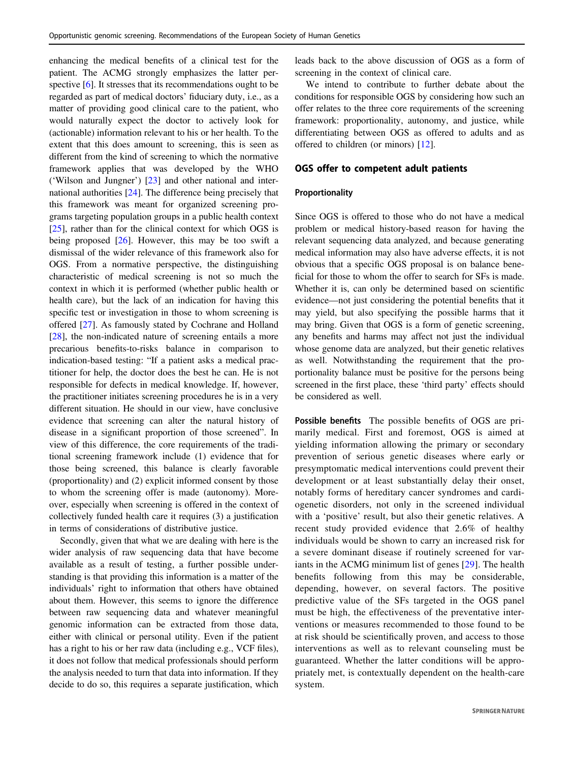enhancing the medical benefits of a clinical test for the patient. The ACMG strongly emphasizes the latter per-spective [[6\]](#page-10-0). It stresses that its recommendations ought to be regarded as part of medical doctors' fiduciary duty, i.e., as a matter of providing good clinical care to the patient, who would naturally expect the doctor to actively look for (actionable) information relevant to his or her health. To the extent that this does amount to screening, this is seen as different from the kind of screening to which the normative framework applies that was developed by the WHO ('Wilson and Jungner') [[23\]](#page-10-0) and other national and international authorities [[24\]](#page-10-0). The difference being precisely that this framework was meant for organized screening programs targeting population groups in a public health context [\[25](#page-10-0)], rather than for the clinical context for which OGS is being proposed [[26\]](#page-10-0). However, this may be too swift a dismissal of the wider relevance of this framework also for OGS. From a normative perspective, the distinguishing characteristic of medical screening is not so much the context in which it is performed (whether public health or health care), but the lack of an indication for having this specific test or investigation in those to whom screening is offered [[27\]](#page-10-0). As famously stated by Cochrane and Holland [\[28](#page-10-0)], the non-indicated nature of screening entails a more precarious benefits-to-risks balance in comparison to indication-based testing: "If a patient asks a medical practitioner for help, the doctor does the best he can. He is not responsible for defects in medical knowledge. If, however, the practitioner initiates screening procedures he is in a very different situation. He should in our view, have conclusive evidence that screening can alter the natural history of disease in a significant proportion of those screened". In view of this difference, the core requirements of the traditional screening framework include (1) evidence that for those being screened, this balance is clearly favorable (proportionality) and (2) explicit informed consent by those to whom the screening offer is made (autonomy). Moreover, especially when screening is offered in the context of collectively funded health care it requires (3) a justification in terms of considerations of distributive justice.

Secondly, given that what we are dealing with here is the wider analysis of raw sequencing data that have become available as a result of testing, a further possible understanding is that providing this information is a matter of the individuals' right to information that others have obtained about them. However, this seems to ignore the difference between raw sequencing data and whatever meaningful genomic information can be extracted from those data, either with clinical or personal utility. Even if the patient has a right to his or her raw data (including e.g., VCF files), it does not follow that medical professionals should perform the analysis needed to turn that data into information. If they decide to do so, this requires a separate justification, which

leads back to the above discussion of OGS as a form of screening in the context of clinical care.

We intend to contribute to further debate about the conditions for responsible OGS by considering how such an offer relates to the three core requirements of the screening framework: proportionality, autonomy, and justice, while differentiating between OGS as offered to adults and as offered to children (or minors) [\[12](#page-10-0)].

#### OGS offer to competent adult patients

#### Proportionality

Since OGS is offered to those who do not have a medical problem or medical history-based reason for having the relevant sequencing data analyzed, and because generating medical information may also have adverse effects, it is not obvious that a specific OGS proposal is on balance beneficial for those to whom the offer to search for SFs is made. Whether it is, can only be determined based on scientific evidence—not just considering the potential benefits that it may yield, but also specifying the possible harms that it may bring. Given that OGS is a form of genetic screening, any benefits and harms may affect not just the individual whose genome data are analyzed, but their genetic relatives as well. Notwithstanding the requirement that the proportionality balance must be positive for the persons being screened in the first place, these 'third party' effects should be considered as well.

Possible benefits The possible benefits of OGS are primarily medical. First and foremost, OGS is aimed at yielding information allowing the primary or secondary prevention of serious genetic diseases where early or presymptomatic medical interventions could prevent their development or at least substantially delay their onset, notably forms of hereditary cancer syndromes and cardiogenetic disorders, not only in the screened individual with a 'positive' result, but also their genetic relatives. A recent study provided evidence that 2.6% of healthy individuals would be shown to carry an increased risk for a severe dominant disease if routinely screened for variants in the ACMG minimum list of genes [[29\]](#page-10-0). The health benefits following from this may be considerable, depending, however, on several factors. The positive predictive value of the SFs targeted in the OGS panel must be high, the effectiveness of the preventative interventions or measures recommended to those found to be at risk should be scientifically proven, and access to those interventions as well as to relevant counseling must be guaranteed. Whether the latter conditions will be appropriately met, is contextually dependent on the health-care system.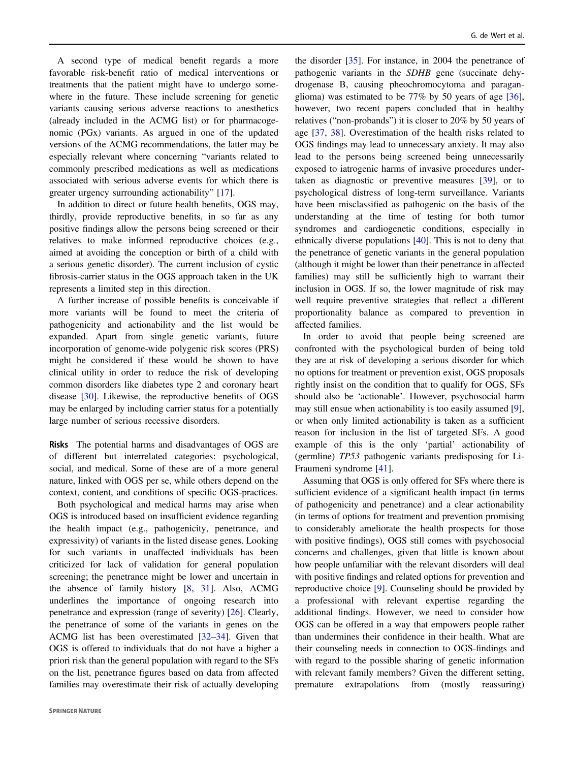A second type of medical benefit regards a more favorable risk-benefit ratio of medical interventions or treatments that the patient might have to undergo somewhere in the future. These include screening for genetic variants causing serious adverse reactions to anesthetics (already included in the ACMG list) or for pharmacogenomic (PGx) variants. As argued in one of the updated versions of the ACMG recommendations, the latter may be especially relevant where concerning "variants related to commonly prescribed medications as well as medications associated with serious adverse events for which there is greater urgency surrounding actionability" [\[17](#page-10-0)].

In addition to direct or future health benefits, OGS may, thirdly, provide reproductive benefits, in so far as any positive findings allow the persons being screened or their relatives to make informed reproductive choices (e.g., aimed at avoiding the conception or birth of a child with a serious genetic disorder). The current inclusion of cystic fibrosis-carrier status in the OGS approach taken in the UK represents a limited step in this direction.

A further increase of possible benefits is conceivable if more variants will be found to meet the criteria of pathogenicity and actionability and the list would be expanded. Apart from single genetic variants, future incorporation of genome-wide polygenic risk scores (PRS) might be considered if these would be shown to have clinical utility in order to reduce the risk of developing common disorders like diabetes type 2 and coronary heart disease [\[30](#page-10-0)]. Likewise, the reproductive benefits of OGS may be enlarged by including carrier status for a potentially large number of serious recessive disorders.

Risks The potential harms and disadvantages of OGS are of different but interrelated categories: psychological, social, and medical. Some of these are of a more general nature, linked with OGS per se, while others depend on the context, content, and conditions of specific OGS-practices.

Both psychological and medical harms may arise when OGS is introduced based on insufficient evidence regarding the health impact (e.g., pathogenicity, penetrance, and expressivity) of variants in the listed disease genes. Looking for such variants in unaffected individuals has been criticized for lack of validation for general population screening; the penetrance might be lower and uncertain in the absence of family history [[8,](#page-10-0) [31](#page-10-0)]. Also, ACMG underlines the importance of ongoing research into penetrance and expression (range of severity) [[26\]](#page-10-0). Clearly, the penetrance of some of the variants in genes on the ACMG list has been overestimated [\[32](#page-10-0)–[34](#page-10-0)]. Given that OGS is offered to individuals that do not have a higher a priori risk than the general population with regard to the SFs on the list, penetrance figures based on data from affected families may overestimate their risk of actually developing

the disorder [[35\]](#page-10-0). For instance, in 2004 the penetrance of pathogenic variants in the SDHB gene (succinate dehydrogenase B, causing pheochromocytoma and paraganglioma) was estimated to be  $77\%$  by 50 years of age [[36\]](#page-10-0), however, two recent papers concluded that in healthy relatives ("non-probands") it is closer to 20% by 50 years of age [[37,](#page-11-0) [38](#page-11-0)]. Overestimation of the health risks related to OGS findings may lead to unnecessary anxiety. It may also lead to the persons being screened being unnecessarily exposed to iatrogenic harms of invasive procedures undertaken as diagnostic or preventive measures [\[39](#page-11-0)], or to psychological distress of long-term surveillance. Variants have been misclassified as pathogenic on the basis of the understanding at the time of testing for both tumor syndromes and cardiogenetic conditions, especially in ethnically diverse populations [[40\]](#page-11-0). This is not to deny that the penetrance of genetic variants in the general population (although it might be lower than their penetrance in affected families) may still be sufficiently high to warrant their inclusion in OGS. If so, the lower magnitude of risk may well require preventive strategies that reflect a different proportionality balance as compared to prevention in affected families.

In order to avoid that people being screened are confronted with the psychological burden of being told they are at risk of developing a serious disorder for which no options for treatment or prevention exist, OGS proposals rightly insist on the condition that to qualify for OGS, SFs should also be 'actionable'. However, psychosocial harm may still ensue when actionability is too easily assumed [[9\]](#page-10-0), or when only limited actionability is taken as a sufficient reason for inclusion in the list of targeted SFs. A good example of this is the only 'partial' actionability of (germline) TP53 pathogenic variants predisposing for Li-Fraumeni syndrome [[41\]](#page-11-0).

Assuming that OGS is only offered for SFs where there is sufficient evidence of a significant health impact (in terms of pathogenicity and penetrance) and a clear actionability (in terms of options for treatment and prevention promising to considerably ameliorate the health prospects for those with positive findings), OGS still comes with psychosocial concerns and challenges, given that little is known about how people unfamiliar with the relevant disorders will deal with positive findings and related options for prevention and reproductive choice [\[9](#page-10-0)]. Counseling should be provided by a professional with relevant expertise regarding the additional findings. However, we need to consider how OGS can be offered in a way that empowers people rather than undermines their confidence in their health. What are their counseling needs in connection to OGS-findings and with regard to the possible sharing of genetic information with relevant family members? Given the different setting, premature extrapolations from (mostly reassuring)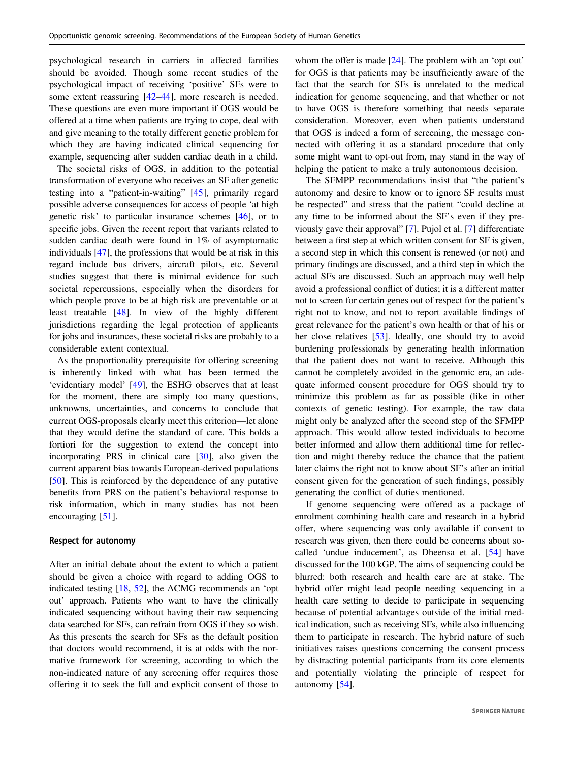psychological research in carriers in affected families should be avoided. Though some recent studies of the psychological impact of receiving 'positive' SFs were to some extent reassuring [\[42](#page-11-0)–[44\]](#page-11-0), more research is needed. These questions are even more important if OGS would be offered at a time when patients are trying to cope, deal with and give meaning to the totally different genetic problem for which they are having indicated clinical sequencing for example, sequencing after sudden cardiac death in a child.

The societal risks of OGS, in addition to the potential transformation of everyone who receives an SF after genetic testing into a "patient-in-waiting" [[45\]](#page-11-0), primarily regard possible adverse consequences for access of people 'at high genetic risk' to particular insurance schemes [\[46](#page-11-0)], or to specific jobs. Given the recent report that variants related to sudden cardiac death were found in 1% of asymptomatic individuals [[47\]](#page-11-0), the professions that would be at risk in this regard include bus drivers, aircraft pilots, etc. Several studies suggest that there is minimal evidence for such societal repercussions, especially when the disorders for which people prove to be at high risk are preventable or at least treatable [\[48](#page-11-0)]. In view of the highly different jurisdictions regarding the legal protection of applicants for jobs and insurances, these societal risks are probably to a considerable extent contextual.

As the proportionality prerequisite for offering screening is inherently linked with what has been termed the 'evidentiary model' [[49\]](#page-11-0), the ESHG observes that at least for the moment, there are simply too many questions, unknowns, uncertainties, and concerns to conclude that current OGS-proposals clearly meet this criterion—let alone that they would define the standard of care. This holds a fortiori for the suggestion to extend the concept into incorporating PRS in clinical care [\[30](#page-10-0)], also given the current apparent bias towards European-derived populations [\[50](#page-11-0)]. This is reinforced by the dependence of any putative benefits from PRS on the patient's behavioral response to risk information, which in many studies has not been encouraging [[51\]](#page-11-0).

#### Respect for autonomy

After an initial debate about the extent to which a patient should be given a choice with regard to adding OGS to indicated testing [\[18](#page-10-0), [52](#page-11-0)], the ACMG recommends an 'opt out' approach. Patients who want to have the clinically indicated sequencing without having their raw sequencing data searched for SFs, can refrain from OGS if they so wish. As this presents the search for SFs as the default position that doctors would recommend, it is at odds with the normative framework for screening, according to which the non-indicated nature of any screening offer requires those offering it to seek the full and explicit consent of those to

whom the offer is made [\[24](#page-10-0)]. The problem with an 'opt out' for OGS is that patients may be insufficiently aware of the fact that the search for SFs is unrelated to the medical indication for genome sequencing, and that whether or not to have OGS is therefore something that needs separate consideration. Moreover, even when patients understand that OGS is indeed a form of screening, the message connected with offering it as a standard procedure that only some might want to opt-out from, may stand in the way of helping the patient to make a truly autonomous decision.

The SFMPP recommendations insist that "the patient's autonomy and desire to know or to ignore SF results must be respected" and stress that the patient "could decline at any time to be informed about the SF's even if they previously gave their approval" [\[7](#page-10-0)]. Pujol et al. [[7\]](#page-10-0) differentiate between a first step at which written consent for SF is given, a second step in which this consent is renewed (or not) and primary findings are discussed, and a third step in which the actual SFs are discussed. Such an approach may well help avoid a professional conflict of duties; it is a different matter not to screen for certain genes out of respect for the patient's right not to know, and not to report available findings of great relevance for the patient's own health or that of his or her close relatives [\[53](#page-11-0)]. Ideally, one should try to avoid burdening professionals by generating health information that the patient does not want to receive. Although this cannot be completely avoided in the genomic era, an adequate informed consent procedure for OGS should try to minimize this problem as far as possible (like in other contexts of genetic testing). For example, the raw data might only be analyzed after the second step of the SFMPP approach. This would allow tested individuals to become better informed and allow them additional time for reflection and might thereby reduce the chance that the patient later claims the right not to know about SF's after an initial consent given for the generation of such findings, possibly generating the conflict of duties mentioned.

If genome sequencing were offered as a package of enrolment combining health care and research in a hybrid offer, where sequencing was only available if consent to research was given, then there could be concerns about socalled 'undue inducement', as Dheensa et al. [\[54](#page-11-0)] have discussed for the 100 kGP. The aims of sequencing could be blurred: both research and health care are at stake. The hybrid offer might lead people needing sequencing in a health care setting to decide to participate in sequencing because of potential advantages outside of the initial medical indication, such as receiving SFs, while also influencing them to participate in research. The hybrid nature of such initiatives raises questions concerning the consent process by distracting potential participants from its core elements and potentially violating the principle of respect for autonomy [\[54](#page-11-0)].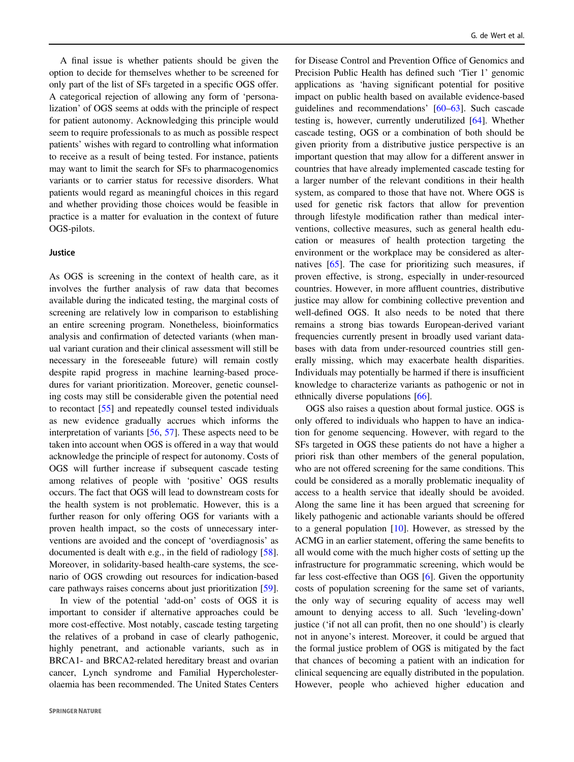A final issue is whether patients should be given the option to decide for themselves whether to be screened for only part of the list of SFs targeted in a specific OGS offer. A categorical rejection of allowing any form of 'personalization' of OGS seems at odds with the principle of respect for patient autonomy. Acknowledging this principle would seem to require professionals to as much as possible respect patients' wishes with regard to controlling what information to receive as a result of being tested. For instance, patients may want to limit the search for SFs to pharmacogenomics variants or to carrier status for recessive disorders. What patients would regard as meaningful choices in this regard and whether providing those choices would be feasible in practice is a matter for evaluation in the context of future OGS-pilots.

## Justice

As OGS is screening in the context of health care, as it involves the further analysis of raw data that becomes available during the indicated testing, the marginal costs of screening are relatively low in comparison to establishing an entire screening program. Nonetheless, bioinformatics analysis and confirmation of detected variants (when manual variant curation and their clinical assessment will still be necessary in the foreseeable future) will remain costly despite rapid progress in machine learning-based procedures for variant prioritization. Moreover, genetic counseling costs may still be considerable given the potential need to recontact [\[55](#page-11-0)] and repeatedly counsel tested individuals as new evidence gradually accrues which informs the interpretation of variants [[56](#page-11-0), [57\]](#page-11-0). These aspects need to be taken into account when OGS is offered in a way that would acknowledge the principle of respect for autonomy. Costs of OGS will further increase if subsequent cascade testing among relatives of people with 'positive' OGS results occurs. The fact that OGS will lead to downstream costs for the health system is not problematic. However, this is a further reason for only offering OGS for variants with a proven health impact, so the costs of unnecessary interventions are avoided and the concept of 'overdiagnosis' as documented is dealt with e.g., in the field of radiology [\[58](#page-11-0)]. Moreover, in solidarity-based health-care systems, the scenario of OGS crowding out resources for indication-based care pathways raises concerns about just prioritization [\[59](#page-11-0)].

In view of the potential 'add-on' costs of OGS it is important to consider if alternative approaches could be more cost-effective. Most notably, cascade testing targeting the relatives of a proband in case of clearly pathogenic, highly penetrant, and actionable variants, such as in BRCA1- and BRCA2-related hereditary breast and ovarian cancer, Lynch syndrome and Familial Hypercholesterolaemia has been recommended. The United States Centers

for Disease Control and Prevention Office of Genomics and Precision Public Health has defined such 'Tier 1' genomic applications as 'having significant potential for positive impact on public health based on available evidence-based guidelines and recommendations' [[60](#page-11-0)–[63\]](#page-11-0). Such cascade testing is, however, currently underutilized [\[64](#page-11-0)]. Whether cascade testing, OGS or a combination of both should be given priority from a distributive justice perspective is an important question that may allow for a different answer in countries that have already implemented cascade testing for a larger number of the relevant conditions in their health system, as compared to those that have not. Where OGS is used for genetic risk factors that allow for prevention through lifestyle modification rather than medical interventions, collective measures, such as general health education or measures of health protection targeting the environment or the workplace may be considered as alternatives [\[65](#page-11-0)]. The case for prioritizing such measures, if proven effective, is strong, especially in under-resourced countries. However, in more affluent countries, distributive justice may allow for combining collective prevention and well-defined OGS. It also needs to be noted that there remains a strong bias towards European-derived variant frequencies currently present in broadly used variant databases with data from under-resourced countries still generally missing, which may exacerbate health disparities. Individuals may potentially be harmed if there is insufficient knowledge to characterize variants as pathogenic or not in ethnically diverse populations [[66\]](#page-11-0).

OGS also raises a question about formal justice. OGS is only offered to individuals who happen to have an indication for genome sequencing. However, with regard to the SFs targeted in OGS these patients do not have a higher a priori risk than other members of the general population, who are not offered screening for the same conditions. This could be considered as a morally problematic inequality of access to a health service that ideally should be avoided. Along the same line it has been argued that screening for likely pathogenic and actionable variants should be offered to a general population [[10\]](#page-10-0). However, as stressed by the ACMG in an earlier statement, offering the same benefits to all would come with the much higher costs of setting up the infrastructure for programmatic screening, which would be far less cost-effective than OGS [\[6](#page-10-0)]. Given the opportunity costs of population screening for the same set of variants, the only way of securing equality of access may well amount to denying access to all. Such 'leveling-down' justice ('if not all can profit, then no one should') is clearly not in anyone's interest. Moreover, it could be argued that the formal justice problem of OGS is mitigated by the fact that chances of becoming a patient with an indication for clinical sequencing are equally distributed in the population. However, people who achieved higher education and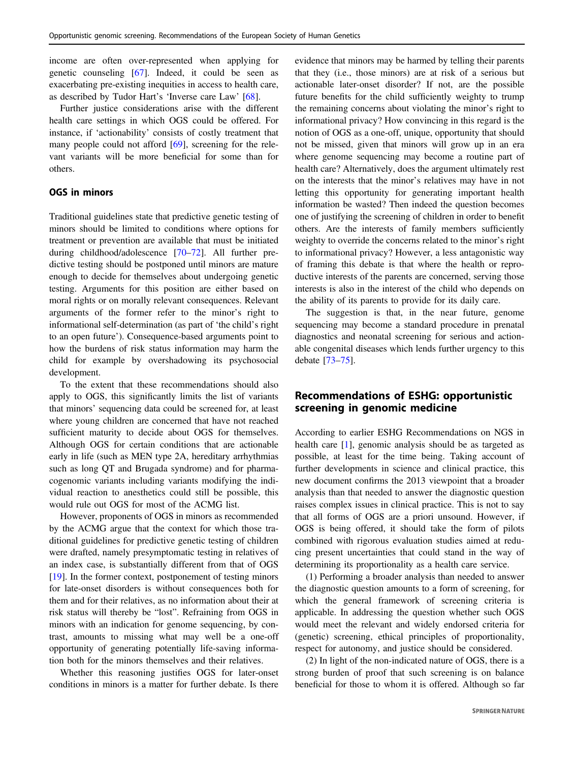income are often over-represented when applying for genetic counseling [[67\]](#page-11-0). Indeed, it could be seen as exacerbating pre-existing inequities in access to health care, as described by Tudor Hart's 'Inverse care Law' [[68\]](#page-11-0).

Further justice considerations arise with the different health care settings in which OGS could be offered. For instance, if 'actionability' consists of costly treatment that many people could not afford [[69\]](#page-11-0), screening for the relevant variants will be more beneficial for some than for others.

#### OGS in minors

Traditional guidelines state that predictive genetic testing of minors should be limited to conditions where options for treatment or prevention are available that must be initiated during childhood/adolescence [[70](#page-11-0)–[72](#page-11-0)]. All further predictive testing should be postponed until minors are mature enough to decide for themselves about undergoing genetic testing. Arguments for this position are either based on moral rights or on morally relevant consequences. Relevant arguments of the former refer to the minor's right to informational self-determination (as part of 'the child's right to an open future'). Consequence-based arguments point to how the burdens of risk status information may harm the child for example by overshadowing its psychosocial development.

To the extent that these recommendations should also apply to OGS, this significantly limits the list of variants that minors' sequencing data could be screened for, at least where young children are concerned that have not reached sufficient maturity to decide about OGS for themselves. Although OGS for certain conditions that are actionable early in life (such as MEN type 2A, hereditary arrhythmias such as long QT and Brugada syndrome) and for pharmacogenomic variants including variants modifying the individual reaction to anesthetics could still be possible, this would rule out OGS for most of the ACMG list.

However, proponents of OGS in minors as recommended by the ACMG argue that the context for which those traditional guidelines for predictive genetic testing of children were drafted, namely presymptomatic testing in relatives of an index case, is substantially different from that of OGS [\[19](#page-10-0)]. In the former context, postponement of testing minors for late-onset disorders is without consequences both for them and for their relatives, as no information about their at risk status will thereby be "lost". Refraining from OGS in minors with an indication for genome sequencing, by contrast, amounts to missing what may well be a one-off opportunity of generating potentially life-saving information both for the minors themselves and their relatives.

Whether this reasoning justifies OGS for later-onset conditions in minors is a matter for further debate. Is there evidence that minors may be harmed by telling their parents that they (i.e., those minors) are at risk of a serious but actionable later-onset disorder? If not, are the possible future benefits for the child sufficiently weighty to trump the remaining concerns about violating the minor's right to informational privacy? How convincing in this regard is the notion of OGS as a one-off, unique, opportunity that should not be missed, given that minors will grow up in an era where genome sequencing may become a routine part of health care? Alternatively, does the argument ultimately rest on the interests that the minor's relatives may have in not letting this opportunity for generating important health information be wasted? Then indeed the question becomes one of justifying the screening of children in order to benefit others. Are the interests of family members sufficiently weighty to override the concerns related to the minor's right to informational privacy? However, a less antagonistic way of framing this debate is that where the health or reproductive interests of the parents are concerned, serving those interests is also in the interest of the child who depends on the ability of its parents to provide for its daily care.

The suggestion is that, in the near future, genome sequencing may become a standard procedure in prenatal diagnostics and neonatal screening for serious and actionable congenital diseases which lends further urgency to this debate [\[73](#page-11-0)–[75](#page-12-0)].

## Recommendations of ESHG: opportunistic screening in genomic medicine

According to earlier ESHG Recommendations on NGS in health care [\[1](#page-9-0)], genomic analysis should be as targeted as possible, at least for the time being. Taking account of further developments in science and clinical practice, this new document confirms the 2013 viewpoint that a broader analysis than that needed to answer the diagnostic question raises complex issues in clinical practice. This is not to say that all forms of OGS are a priori unsound. However, if OGS is being offered, it should take the form of pilots combined with rigorous evaluation studies aimed at reducing present uncertainties that could stand in the way of determining its proportionality as a health care service.

(1) Performing a broader analysis than needed to answer the diagnostic question amounts to a form of screening, for which the general framework of screening criteria is applicable. In addressing the question whether such OGS would meet the relevant and widely endorsed criteria for (genetic) screening, ethical principles of proportionality, respect for autonomy, and justice should be considered.

(2) In light of the non-indicated nature of OGS, there is a strong burden of proof that such screening is on balance beneficial for those to whom it is offered. Although so far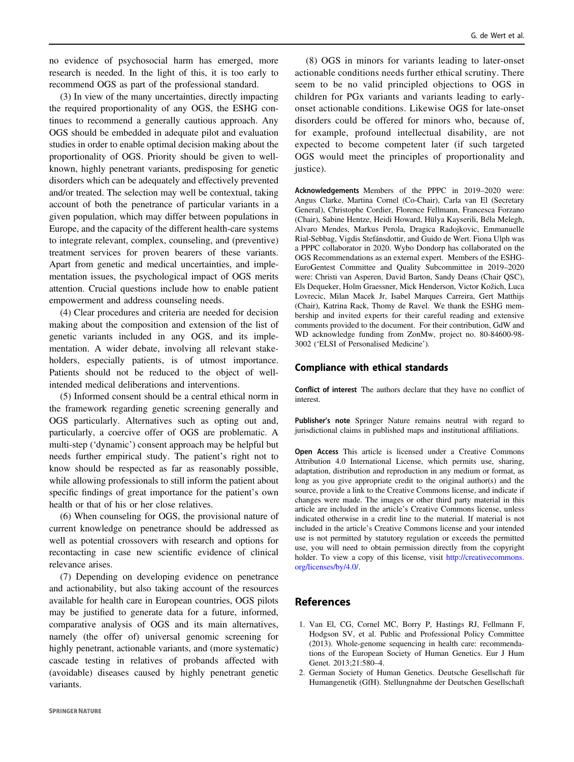<span id="page-9-0"></span>no evidence of psychosocial harm has emerged, more research is needed. In the light of this, it is too early to recommend OGS as part of the professional standard.

(3) In view of the many uncertainties, directly impacting the required proportionality of any OGS, the ESHG continues to recommend a generally cautious approach. Any OGS should be embedded in adequate pilot and evaluation studies in order to enable optimal decision making about the proportionality of OGS. Priority should be given to wellknown, highly penetrant variants, predisposing for genetic disorders which can be adequately and effectively prevented and/or treated. The selection may well be contextual, taking account of both the penetrance of particular variants in a given population, which may differ between populations in Europe, and the capacity of the different health-care systems to integrate relevant, complex, counseling, and (preventive) treatment services for proven bearers of these variants. Apart from genetic and medical uncertainties, and implementation issues, the psychological impact of OGS merits attention. Crucial questions include how to enable patient empowerment and address counseling needs.

(4) Clear procedures and criteria are needed for decision making about the composition and extension of the list of genetic variants included in any OGS, and its implementation. A wider debate, involving all relevant stakeholders, especially patients, is of utmost importance. Patients should not be reduced to the object of wellintended medical deliberations and interventions.

(5) Informed consent should be a central ethical norm in the framework regarding genetic screening generally and OGS particularly. Alternatives such as opting out and, particularly, a coercive offer of OGS are problematic. A multi-step ('dynamic') consent approach may be helpful but needs further empirical study. The patient's right not to know should be respected as far as reasonably possible, while allowing professionals to still inform the patient about specific findings of great importance for the patient's own health or that of his or her close relatives.

(6) When counseling for OGS, the provisional nature of current knowledge on penetrance should be addressed as well as potential crossovers with research and options for recontacting in case new scientific evidence of clinical relevance arises.

(7) Depending on developing evidence on penetrance and actionability, but also taking account of the resources available for health care in European countries, OGS pilots may be justified to generate data for a future, informed, comparative analysis of OGS and its main alternatives, namely (the offer of) universal genomic screening for highly penetrant, actionable variants, and (more systematic) cascade testing in relatives of probands affected with (avoidable) diseases caused by highly penetrant genetic variants.

(8) OGS in minors for variants leading to later-onset actionable conditions needs further ethical scrutiny. There seem to be no valid principled objections to OGS in children for PGx variants and variants leading to earlyonset actionable conditions. Likewise OGS for late-onset disorders could be offered for minors who, because of, for example, profound intellectual disability, are not expected to become competent later (if such targeted OGS would meet the principles of proportionality and justice).

Acknowledgements Members of the PPPC in 2019–2020 were: Angus Clarke, Martina Cornel (Co-Chair), Carla van El (Secretary General), Christophe Cordier, Florence Fellmann, Francesca Forzano (Chair), Sabine Hentze, Heidi Howard, Hülya Kayserili, Béla Melegh, Alvaro Mendes, Markus Perola, Dragica Radojkovic, Emmanuelle Rial-Sebbag, Vigdis Stefánsdottir, and Guido de Wert. Fiona Ulph was a PPPC collaborator in 2020. Wybo Dondorp has collaborated on the OGS Recommendations as an external expert. Members of the ESHG-EuroGentest Committee and Quality Subcommittee in 2019–2020 were: Christi van Asperen, David Barton, Sandy Deans (Chair QSC), Els Dequeker, Holm Graessner, Mick Henderson, Victor Kožich, Luca Lovrecic, Milan Macek Jr, Isabel Marques Carreira, Gert Matthijs (Chair), Katrina Rack, Thomy de Ravel. We thank the ESHG membership and invited experts for their careful reading and extensive comments provided to the document. For their contribution, GdW and WD acknowledge funding from ZonMw, project no. 80-84600-98- 3002 ('ELSI of Personalised Medicine').

#### Compliance with ethical standards

Conflict of interest The authors declare that they have no conflict of interest.

Publisher's note Springer Nature remains neutral with regard to jurisdictional claims in published maps and institutional affiliations.

Open Access This article is licensed under a Creative Commons Attribution 4.0 International License, which permits use, sharing, adaptation, distribution and reproduction in any medium or format, as long as you give appropriate credit to the original author(s) and the source, provide a link to the Creative Commons license, and indicate if changes were made. The images or other third party material in this article are included in the article's Creative Commons license, unless indicated otherwise in a credit line to the material. If material is not included in the article's Creative Commons license and your intended use is not permitted by statutory regulation or exceeds the permitted use, you will need to obtain permission directly from the copyright holder. To view a copy of this license, visit [http://creativecommons.](http://creativecommons.org/licenses/by/4.0/) [org/licenses/by/4.0/](http://creativecommons.org/licenses/by/4.0/).

## References

- 1. Van El, CG, Cornel MC, Borry P, Hastings RJ, Fellmann F, Hodgson SV, et al. Public and Professional Policy Committee (2013). Whole-genome sequencing in health care: recommendations of the European Society of Human Genetics. Eur J Hum Genet. 2013;21:580–4.
- 2. German Society of Human Genetics. Deutsche Gesellschaft für Humangenetik (GfH). Stellungnahme der Deutschen Gesellschaft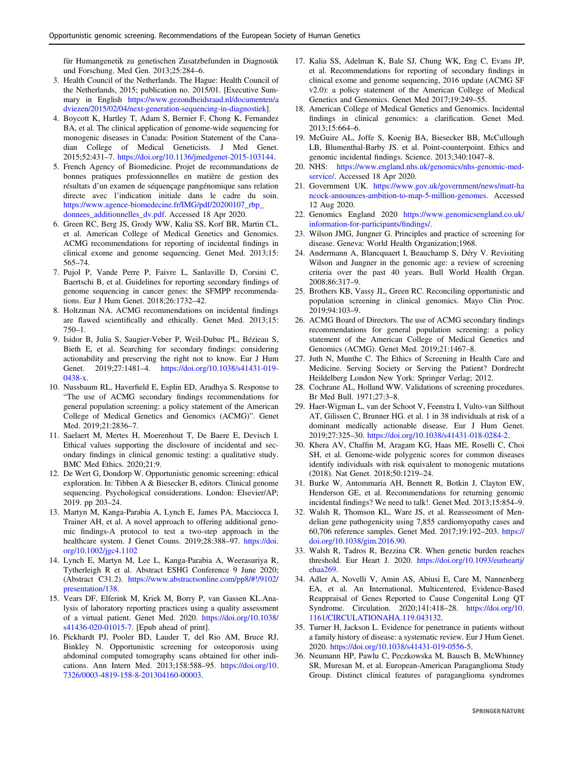<span id="page-10-0"></span>für Humangenetik zu genetischen Zusatzbefunden in Diagnostik und Forschung. Med Gen. 2013;25:284–6.

- 3. Health Council of the Netherlands. The Hague: Health Council of the Netherlands, 2015; publication no. 2015/01. [Executive Summary in English [https://www.gezondheidsraad.nl/documenten/a](https://www.gezondheidsraad.nl/documenten/adviezen/2015/02/04/next-generation-sequencing-in-diagnostiek) [dviezen/2015/02/04/next-generation-sequencing-in-diagnostiek](https://www.gezondheidsraad.nl/documenten/adviezen/2015/02/04/next-generation-sequencing-in-diagnostiek)].
- 4. Boycott K, Hartley T, Adam S, Bernier F, Chong K, Fernandez BA, et al. The clinical application of genome-wide sequencing for monogenic diseases in Canada: Position Statement of the Canadian College of Medical Geneticists. J Med Genet. 2015;52:431–7. <https://doi.org/10.1136/jmedgenet-2015-103144>.
- 5. French Agency of Biomedicine. Projet de recommandations de bonnes pratiques professionnelles en matière de gestion des résultats d'un examen de séquençage pangénomique sans relation directe avec l'indication initiale dans le cadre du soin. [https://www.agence-biomedecine.fr/IMG/pdf/20200107\\_rbp\\_](https://www.agence-biomedecine.fr/IMG/pdf/20200107_rbp_donnees_additionnelles_dv.pdf) [donnees\\_additionnelles\\_dv.pdf.](https://www.agence-biomedecine.fr/IMG/pdf/20200107_rbp_donnees_additionnelles_dv.pdf) Accessed 18 Apr 2020.
- 6. Green RC, Berg JS, Grody WW, Kalia SS, Korf BR, Martin CL, et al. American College of Medical Genetics and Genomics. ACMG recommendations for reporting of incidental findings in clinical exome and genome sequencing. Genet Med. 2013;15: 565–74.
- 7. Pujol P, Vande Perre P, Faivre L, Sanlaville D, Corsini C, Baertschi B, et al. Guidelines for reporting secondary findings of genome sequencing in cancer genes: the SFMPP recommendations. Eur J Hum Genet. 2018;26:1732–42.
- 8. Holtzman NA. ACMG recommendations on incidental findings are flawed scientifically and ethically. Genet Med. 2013;15: 750–1.
- 9. Isidor B, Julia S, Saugier-Veber P, Weil-Dubuc PL, Bézieau S, Bieth E, et al. Searching for secondary findings: considering actionability and preserving the right not to know. Eur J Hum Genet. 2019;27:1481–4. [https://doi.org/10.1038/s41431-019-](https://doi.org/10.1038/s41431-019-0438-x) [0438-x.](https://doi.org/10.1038/s41431-019-0438-x)
- 10. Nussbaum RL, Haverfield E, Esplin ED, Aradhya S. Response to "The use of ACMG secondary findings recommendations for general population screening: a policy statement of the American College of Medical Genetics and Genomics (ACMG)". Genet Med. 2019;21:2836–7.
- 11. Saelaert M, Mertes H, Moerenhout T, De Baere E, Devisch I. Ethical values supporting the disclosure of incidental and secondary findings in clinical genomic testing: a qualitative study. BMC Med Ethics. 2020;21:9.
- 12. De Wert G, Dondorp W. Opportunistic genomic screening: ethical exploration. In: Tibben A & Biesecker B, editors. Clinical genome sequencing. Psychological considerations. London: Elsevier/AP; 2019. pp 203–24.
- 13. Martyn M, Kanga-Parabia A, Lynch E, James PA, Macciocca I, Trainer AH, et al. A novel approach to offering additional genomic findings-A protocol to test a two-step approach in the healthcare system. J Genet Couns. 2019;28:388-97. [https://doi.](https://doi.org/10.1002/jgc4.1102) [org/10.1002/jgc4.1102](https://doi.org/10.1002/jgc4.1102)
- 14. Lynch E, Martyn M, Lee L, Kanga-Parabia A, Weerasuriya R, Tytherleigh R et al. Abstract ESHG Conference 9 June 2020; (Abstract C31.2). [https://www.abstractsonline.com/pp8/#!/9102/](https://www.abstractsonline.com/pp8/#!/9102/presentation/138) [presentation/138.](https://www.abstractsonline.com/pp8/#!/9102/presentation/138)
- 15. Vears DF, Elferink M, Kriek M, Borry P, van Gassen KL.Analysis of laboratory reporting practices using a quality assessment of a virtual patient. Genet Med. 2020. [https://doi.org/10.1038/](https://doi.org/10.1038/s41436-020-01015-7) [s41436-020-01015-7.](https://doi.org/10.1038/s41436-020-01015-7) [Epub ahead of print].
- 16. Pickhardt PJ, Pooler BD, Lauder T, del Rio AM, Bruce RJ, Binkley N. Opportunistic screening for osteoporosis using abdominal computed tomography scans obtained for other indications. Ann Intern Med. 2013;158:588–95. [https://doi.org/10.](https://doi.org/10.7326/0003-4819-158-8-201304160-00003) [7326/0003-4819-158-8-201304160-00003.](https://doi.org/10.7326/0003-4819-158-8-201304160-00003)
- 17. Kalia SS, Adelman K, Bale SJ, Chung WK, Eng C, Evans JP, et al. Recommendations for reporting of secondary findings in clinical exome and genome sequencing, 2016 update (ACMG SF v2.0): a policy statement of the American College of Medical Genetics and Genomics. Genet Med 2017;19:249–55.
- 18. American College of Medical Genetics and Genomics. Incidental findings in clinical genomics: a clarification. Genet Med. 2013;15:664–6.
- 19. McGuire AL, Joffe S, Koenig BA, Biesecker BB, McCullough LB, Blumenthal-Barby JS. et al. Point-counterpoint. Ethics and genomic incidental findings. Science. 2013;340:1047–8.
- 20. NHS: [https://www.england.nhs.uk/genomics/nhs-genomic-med](https://www.england.nhs.uk/genomics/nhs-genomic-med-service/)[service/.](https://www.england.nhs.uk/genomics/nhs-genomic-med-service/) Accessed 18 Apr 2020.
- 21. Government UK. [https://www.gov.uk/government/news/matt-ha](https://www.gov.uk/government/news/matt-hancock-announces-ambition-to-map-5-million-genomes) [ncock-announces-ambition-to-map-5-million-genomes.](https://www.gov.uk/government/news/matt-hancock-announces-ambition-to-map-5-million-genomes) Accessed 12 Aug 2020.
- 22. Genomics England 2020 [https://www.genomicsengland.co.uk/](https://www.genomicsengland.co.uk/information-for-participants/findings/) [information-for-participants/](https://www.genomicsengland.co.uk/information-for-participants/findings/)findings/.
- 23. Wilson JMG, Jungner G. Principles and practice of screening for disease. Geneva: World Health Organization;1968.
- 24. Andermann A, Blancquaert I, Beauchamp S, Déry V. Revisiting Wilson and Jungner in the genomic age: a review of screening criteria over the past 40 years. Bull World Health Organ. 2008;86:317–9.
- 25. Brothers KB, Vassy JL, Green RC. Reconciling opportunistic and population screening in clinical genomics. Mayo Clin Proc. 2019;94:103–9.
- 26. ACMG Board of Directors. The use of ACMG secondary findings recommendations for general population screening: a policy statement of the American College of Medical Genetics and Genomics (ACMG). Genet Med. 2019;21:1467–8.
- 27. Juth N, Munthe C. The Ethics of Screening in Health Care and Medicine. Serving Society or Serving the Patient? Dordrecht Heildelberg London New York: Springer Verlag; 2012.
- 28. Cochrane AL, Holland WW. Validations of screening procedures. Br Med Bull. 1971;27:3–8.
- 29. Haer-Wigman L, van der Schoot V, Feenstra I, Vulto-van Silfhout AT, Gilissen C, Brunner HG. et al. 1 in 38 individuals at risk of a dominant medically actionable disease. Eur J Hum Genet. 2019;27:325–30. <https://doi.org/10.1038/s41431-018-0284-2>.
- 30. Khera AV, Chaffin M, Aragam KG, Haas ME, Roselli C, Choi SH, et al. Genome-wide polygenic scores for common diseases identify individuals with risk equivalent to monogenic mutations (2018). Nat Genet. 2018;50:1219–24.
- 31. Burke W, Antommaria AH, Bennett R, Botkin J, Clayton EW, Henderson GE, et al. Recommendations for returning genomic incidental findings? We need to talk!. Genet Med. 2013;15:854–9.
- 32. Walsh R, Thomson KL, Ware JS, et al. Reassessment of Mendelian gene pathogenicity using 7,855 cardiomyopathy cases and 60,706 reference samples. Genet Med. 2017;19:192–203. [https://](https://doi.org/10.1038/gim.2016.90) [doi.org/10.1038/gim.2016.90.](https://doi.org/10.1038/gim.2016.90)
- 33. Walsh R, Tadros R, Bezzina CR. When genetic burden reaches threshold. Eur Heart J. 2020. [https://doi.org/10.1093/eurheartj/](https://doi.org/10.1093/eurheartj/ehaa269) [ehaa269](https://doi.org/10.1093/eurheartj/ehaa269).
- 34. Adler A, Novelli V, Amin AS, Abiusi E, Care M, Nannenberg EA, et al. An International, Multicentered, Evidence-Based Reappraisal of Genes Reported to Cause Congenital Long QT Syndrome. Circulation. 2020;141:418–28. [https://doi.org/10.](https://doi.org/10.1161/CIRCULATIONAHA.119.043132) [1161/CIRCULATIONAHA.119.043132.](https://doi.org/10.1161/CIRCULATIONAHA.119.043132)
- 35. Turner H, Jackson L. Evidence for penetrance in patients without a family history of disease: a systematic review. Eur J Hum Genet. 2020. [https://doi.org/10.1038/s41431-019-0556-5.](https://doi.org/10.1038/s41431-019-0556-5)
- 36. Neumann HP, Pawlu C, Peczkowska M, Bausch B, McWhinney SR, Muresan M, et al. European-American Paraganglioma Study Group. Distinct clinical features of paraganglioma syndromes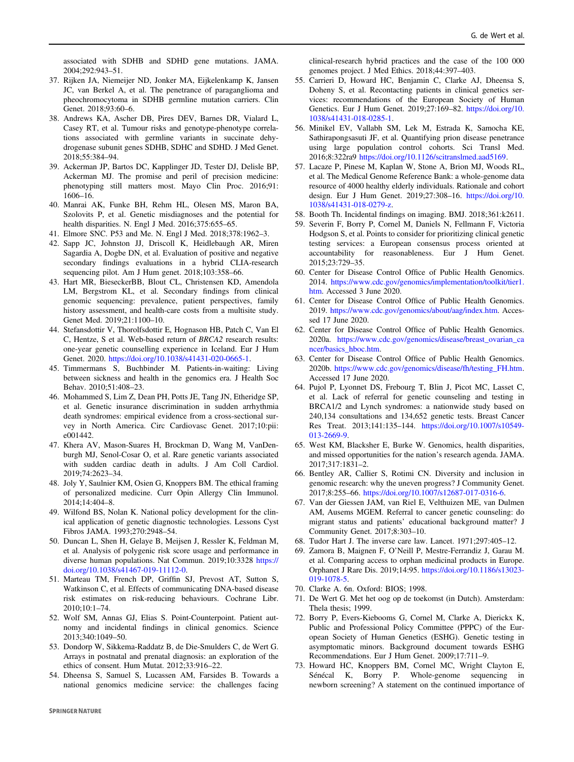<span id="page-11-0"></span>associated with SDHB and SDHD gene mutations. JAMA. 2004;292:943–51.

- 37. Rijken JA, Niemeijer ND, Jonker MA, Eijkelenkamp K, Jansen JC, van Berkel A, et al. The penetrance of paraganglioma and pheochromocytoma in SDHB germline mutation carriers. Clin Genet. 2018;93:60–6.
- 38. Andrews KA, Ascher DB, Pires DEV, Barnes DR, Vialard L, Casey RT, et al. Tumour risks and genotype-phenotype correlations associated with germline variants in succinate dehydrogenase subunit genes SDHB, SDHC and SDHD. J Med Genet. 2018;55:384–94.
- 39. Ackerman JP, Bartos DC, Kapplinger JD, Tester DJ, Delisle BP, Ackerman MJ. The promise and peril of precision medicine: phenotyping still matters most. Mayo Clin Proc. 2016;91: 1606–16.
- 40. Manrai AK, Funke BH, Rehm HL, Olesen MS, Maron BA, Szolovits P, et al. Genetic misdiagnoses and the potential for health disparities. N. Engl J Med. 2016;375:655–65.
- 41. Elmore SNC. P53 and Me. N. Engl J Med. 2018;378:1962–3.
- 42. Sapp JC, Johnston JJ, Driscoll K, Heidlebaugh AR, Miren Sagardia A, Dogbe DN, et al. Evaluation of positive and negative secondary findings evaluations in a hybrid CLIA-research sequencing pilot. Am J Hum genet. 2018;103:358–66.
- 43. Hart MR, BieseckerBB, Blout CL, Christensen KD, Amendola LM, Bergstrom KL, et al. Secondary findings from clinical genomic sequencing: prevalence, patient perspectives, family history assessment, and health-care costs from a multisite study. Genet Med. 2019;21:1100–10.
- 44. Stefansdottir V, Thorolfsdottir E, Hognason HB, Patch C, Van El C, Hentze, S et al. Web-based return of BRCA2 research results: one-year genetic counselling experience in Iceland. Eur J Hum Genet. 2020. [https://doi.org/10.1038/s41431-020-0665-1.](https://doi.org/10.1038/s41431-020-0665-1)
- 45. Timmermans S, Buchbinder M. Patients-in-waiting: Living between sickness and health in the genomics era. J Health Soc Behav. 2010;51:408–23.
- 46. Mohammed S, Lim Z, Dean PH, Potts JE, Tang JN, Etheridge SP, et al. Genetic insurance discrimination in sudden arrhythmia death syndromes: empirical evidence from a cross-sectional survey in North America. Circ Cardiovasc Genet. 2017;10:pii: e001442.
- 47. Khera AV, Mason-Suares H, Brockman D, Wang M, VanDenburgh MJ, Senol-Cosar O, et al. Rare genetic variants associated with sudden cardiac death in adults. J Am Coll Cardiol. 2019;74:2623–34.
- 48. Joly Y, Saulnier KM, Osien G, Knoppers BM. The ethical framing of personalized medicine. Curr Opin Allergy Clin Immunol. 2014;14:404–8.
- 49. Wilfond BS, Nolan K. National policy development for the clinical application of genetic diagnostic technologies. Lessons Cyst Fibros JAMA. 1993;270:2948–54.
- 50. Duncan L, Shen H, Gelaye B, Meijsen J, Ressler K, Feldman M, et al. Analysis of polygenic risk score usage and performance in diverse human populations. Nat Commun. 2019;10:3328 [https://](https://doi.org/10.1038/s41467-019-11112-0) [doi.org/10.1038/s41467-019-11112-0.](https://doi.org/10.1038/s41467-019-11112-0)
- 51. Marteau TM, French DP, Griffin SJ, Prevost AT, Sutton S, Watkinson C, et al. Effects of communicating DNA-based disease risk estimates on risk-reducing behaviours. Cochrane Libr. 2010;10:1–74.
- 52. Wolf SM, Annas GJ, Elias S. Point-Counterpoint. Patient autnomy and incidental findings in clinical genomics. Science 2013;340:1049–50.
- 53. Dondorp W, Sikkema-Raddatz B, de Die-Smulders C, de Wert G. Arrays in postnatal and prenatal diagnosis: an exploration of the ethics of consent. Hum Mutat. 2012;33:916–22.
- 54. Dheensa S, Samuel S, Lucassen AM, Farsides B. Towards a national genomics medicine service: the challenges facing

clinical-research hybrid practices and the case of the 100 000 genomes project. J Med Ethics. 2018;44:397–403.

- 55. Carrieri D, Howard HC, Benjamin C, Clarke AJ, Dheensa S, Doheny S, et al. Recontacting patients in clinical genetics services: recommendations of the European Society of Human Genetics. Eur J Hum Genet. 2019;27:169–82. [https://doi.org/10.](https://doi.org/10.1038/s41431-018-0285-1) [1038/s41431-018-0285-1.](https://doi.org/10.1038/s41431-018-0285-1)
- 56. Minikel EV, Vallabh SM, Lek M, Estrada K, Samocha KE, Sathirapongsasuti JF, et al. Quantifying prion disease penetrance using large population control cohorts. Sci Transl Med. 2016;8:322ra9 <https://doi.org/10.1126/scitranslmed.aad5169>.
- 57. Lacaze P, Pinese M, Kaplan W, Stone A, Brion MJ, Woods RL, et al. The Medical Genome Reference Bank: a whole-genome data resource of 4000 healthy elderly individuals. Rationale and cohort design. Eur J Hum Genet. 2019;27:308–16. [https://doi.org/10.](https://doi.org/10.1038/s41431-018-0279-z) [1038/s41431-018-0279-z](https://doi.org/10.1038/s41431-018-0279-z).
- 58. Booth Th. Incidental findings on imaging. BMJ. 2018;361:k2611.
- 59. Severin F, Borry P, Cornel M, Daniels N, Fellmann F, Victoria Hodgson S, et al. Points to consider for prioritizing clinical genetic testing services: a European consensus process oriented at accountability for reasonableness. Eur J Hum Genet. 2015;23:729–35.
- 60. Center for Disease Control Office of Public Health Genomics. 2014. [https://www.cdc.gov/genomics/implementation/toolkit/tier1.](https://www.cdc.gov/genomics/implementation/toolkit/tier1.htm) [htm.](https://www.cdc.gov/genomics/implementation/toolkit/tier1.htm) Accessed 3 June 2020.
- 61. Center for Disease Control Office of Public Health Genomics. 2019. <https://www.cdc.gov/genomics/about/aag/index.htm>. Accessed 17 June 2020.
- 62. Center for Disease Control Office of Public Health Genomics. 2020a. [https://www.cdc.gov/genomics/disease/breast\\_ovarian\\_ca](https://www.cdc.gov/genomics/disease/breast_ovarian_cancer/basics_hboc.htm) [ncer/basics\\_hboc.htm.](https://www.cdc.gov/genomics/disease/breast_ovarian_cancer/basics_hboc.htm)
- 63. Center for Disease Control Office of Public Health Genomics. 2020b. [https://www.cdc.gov/genomics/disease/fh/testing\\_FH.htm](https://www.cdc.gov/genomics/disease/fh/testing_FH.htm). Accessed 17 June 2020.
- 64. Pujol P, Lyonnet DS, Frebourg T, Blin J, Picot MC, Lasset C, et al. Lack of referral for genetic counseling and testing in BRCA1/2 and Lynch syndromes: a nationwide study based on 240,134 consultations and 134,652 genetic tests. Breast Cancer Res Treat. 2013;141:135–144. [https://doi.org/10.1007/s10549-](https://doi.org/10.1007/s10549-013-2669-9) [013-2669-9](https://doi.org/10.1007/s10549-013-2669-9).
- 65. West KM, Blacksher E, Burke W. Genomics, health disparities, and missed opportunities for the nation's research agenda. JAMA. 2017;317:1831–2.
- 66. Bentley AR, Callier S, Rotimi CN. Diversity and inclusion in genomic research: why the uneven progress? J Community Genet. 2017;8:255–66. [https://doi.org/10.1007/s12687-017-0316-6.](https://doi.org/10.1007/s12687-017-0316-6)
- 67. Van der Giessen JAM, van Riel E, Velthuizen ME, van Dulmen AM, Ausems MGEM. Referral to cancer genetic counseling: do migrant status and patients' educational background matter? J Community Genet. 2017;8:303–10.
- 68. Tudor Hart J. The inverse care law. Lancet. 1971;297:405–12.
- 69. Zamora B, Maignen F, O'Neill P, Mestre-Ferrandiz J, Garau M. et al. Comparing access to orphan medicinal products in Europe. Orphanet J Rare Dis. 2019;14:95. [https://doi.org/10.1186/s13023-](https://doi.org/10.1186/s13023-019-1078-5) [019-1078-5](https://doi.org/10.1186/s13023-019-1078-5).
- 70. Clarke A. 6n. Oxford: BIOS; 1998.
- 71. De Wert G. Met het oog op de toekomst (in Dutch). Amsterdam: Thela thesis; 1999.
- 72. Borry P, Evers-Kiebooms G, Cornel M, Clarke A, Dierickx K, Public and Professional Policy Committee (PPPC) of the European Society of Human Genetics (ESHG). Genetic testing in asymptomatic minors. Background document towards ESHG Recommendations. Eur J Hum Genet. 2009;17:711–9.
- 73. Howard HC, Knoppers BM, Cornel MC, Wright Clayton E, Sénécal K, Borry P. Whole-genome sequencing in newborn screening? A statement on the continued importance of